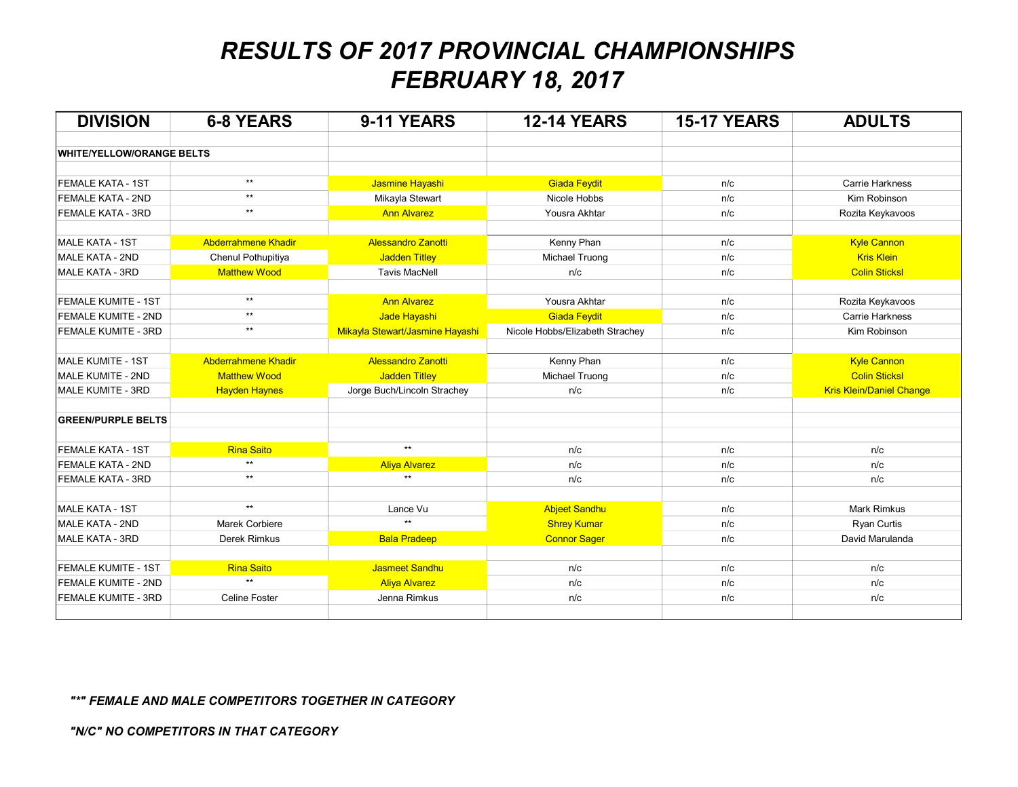# RESULTS OF 2017 PROVINCIAL CHAMPIONSHIPS FEBRUARY 18, 2017

| <b>DIVISION</b>                  | <b>6-8 YEARS</b>           | 9-11 YEARS                      | <b>12-14 YEARS</b>              | <b>15-17 YEARS</b> | <b>ADULTS</b>                   |
|----------------------------------|----------------------------|---------------------------------|---------------------------------|--------------------|---------------------------------|
| <b>WHITE/YELLOW/ORANGE BELTS</b> |                            |                                 |                                 |                    |                                 |
|                                  |                            |                                 |                                 |                    |                                 |
| <b>FEMALE KATA - 1ST</b>         | $***$                      | Jasmine Hayashi                 | <b>Giada Feydit</b>             | n/c                | <b>Carrie Harkness</b>          |
| <b>FEMALE KATA - 2ND</b>         | $**$                       | Mikayla Stewart                 | Nicole Hobbs                    | n/c                | Kim Robinson                    |
| <b>FEMALE KATA - 3RD</b>         | $***$                      | <b>Ann Alvarez</b>              | Yousra Akhtar                   | n/c                | Rozita Keykavoos                |
|                                  |                            |                                 |                                 |                    |                                 |
| <b>MALE KATA - 1ST</b>           | <b>Abderrahmene Khadir</b> | <b>Alessandro Zanotti</b>       | Kenny Phan                      | n/c                | <b>Kyle Cannon</b>              |
| MALE KATA - 2ND                  | Chenul Pothupitiya         | <b>Jadden Titley</b>            | Michael Truong                  | n/c                | <b>Kris Klein</b>               |
| <b>MALE KATA - 3RD</b>           | <b>Matthew Wood</b>        | <b>Tavis MacNell</b>            | n/c                             | n/c                | <b>Colin Sticksl</b>            |
| <b>FEMALE KUMITE - 1ST</b>       | $***$                      | <b>Ann Alvarez</b>              | Yousra Akhtar                   | n/c                | Rozita Keykavoos                |
| FEMALE KUMITE - 2ND              | $***$                      | Jade Hayashi                    | <b>Giada Feydit</b>             | n/c                | <b>Carrie Harkness</b>          |
| FEMALE KUMITE - 3RD              | $\star\star$               | Mikayla Stewart/Jasmine Hayashi | Nicole Hobbs/Elizabeth Strachey | n/c                | Kim Robinson                    |
|                                  |                            |                                 |                                 |                    |                                 |
| MALE KUMITE - 1ST                | <b>Abderrahmene Khadir</b> | <b>Alessandro Zanotti</b>       | Kenny Phan                      | n/c                | <b>Kyle Cannon</b>              |
| MALE KUMITE - 2ND                | <b>Matthew Wood</b>        | <b>Jadden Titley</b>            | Michael Truong                  | n/c                | <b>Colin Sticksl</b>            |
| MALE KUMITE - 3RD                | <b>Hayden Haynes</b>       | Jorge Buch/Lincoln Strachey     | n/c                             | n/c                | <b>Kris Klein/Daniel Change</b> |
|                                  |                            |                                 |                                 |                    |                                 |
| <b>GREEN/PURPLE BELTS</b>        |                            |                                 |                                 |                    |                                 |
| <b>FEMALE KATA - 1ST</b>         | <b>Rina Saito</b>          | $**$                            | n/c                             | n/c                | n/c                             |
| <b>FEMALE KATA - 2ND</b>         | $\star\star$               | <b>Aliya Alvarez</b>            | n/c                             | n/c                | n/c                             |
| <b>FEMALE KATA - 3RD</b>         | $\star\star$               | $^{\star\star}$                 | n/c                             | n/c                | n/c                             |
|                                  |                            |                                 |                                 |                    |                                 |
| <b>MALE KATA - 1ST</b>           | $\star\star$               | Lance Vu                        | <b>Abjeet Sandhu</b>            | n/c                | <b>Mark Rimkus</b>              |
| <b>MALE KATA - 2ND</b>           | Marek Corbiere             | $\star\star$                    | <b>Shrey Kumar</b>              | n/c                | Ryan Curtis                     |
| <b>MALE KATA - 3RD</b>           | <b>Derek Rimkus</b>        | <b>Bala Pradeep</b>             | <b>Connor Sager</b>             | n/c                | David Marulanda                 |
|                                  |                            |                                 |                                 |                    |                                 |
| <b>FEMALE KUMITE - 1ST</b>       | <b>Rina Saito</b>          | <b>Jasmeet Sandhu</b>           | n/c                             | n/c                | n/c                             |
| <b>FEMALE KUMITE - 2ND</b>       | $\star\star$               | <b>Aliya Alvarez</b>            | n/c                             | n/c                | n/c                             |
| <b>FEMALE KUMITE - 3RD</b>       | <b>Celine Foster</b>       | Jenna Rimkus                    | n/c                             | n/c                | n/c                             |
|                                  |                            |                                 |                                 |                    |                                 |

### "\*" FEMALE AND MALE COMPETITORS TOGETHER IN CATEGORY

"N/C" NO COMPETITORS IN THAT CATEGORY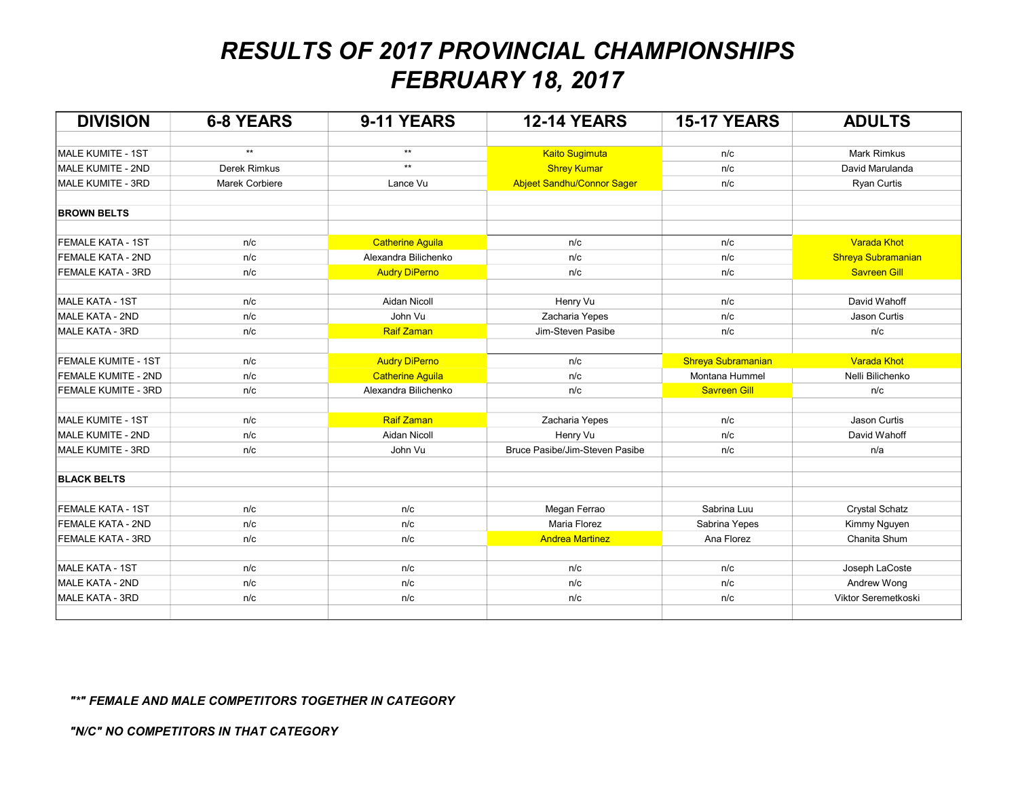# RESULTS OF 2017 PROVINCIAL CHAMPIONSHIPS FEBRUARY 18, 2017

| <b>DIVISION</b>            | <b>6-8 YEARS</b>      | 9-11 YEARS              | <b>12-14 YEARS</b>                | <b>15-17 YEARS</b>  | <b>ADULTS</b>         |
|----------------------------|-----------------------|-------------------------|-----------------------------------|---------------------|-----------------------|
|                            |                       |                         |                                   |                     |                       |
| MALE KUMITE - 1ST          | $***$                 | $^{\star\star}$         | <b>Kaito Sugimuta</b>             | n/c                 | <b>Mark Rimkus</b>    |
| MALE KUMITE - 2ND          | Derek Rimkus          | $^{\star\star}$         | <b>Shrey Kumar</b>                | n/c                 | David Marulanda       |
| MALE KUMITE - 3RD          | <b>Marek Corbiere</b> | Lance Vu                | <b>Abjeet Sandhu/Connor Sager</b> | n/c                 | <b>Ryan Curtis</b>    |
| <b>BROWN BELTS</b>         |                       |                         |                                   |                     |                       |
| <b>FEMALE KATA - 1ST</b>   | n/c                   | <b>Catherine Aguila</b> | n/c                               | n/c                 | Varada Khot           |
| <b>FEMALE KATA - 2ND</b>   | n/c                   | Alexandra Bilichenko    | n/c                               | n/c                 | Shreya Subramanian    |
| <b>FEMALE KATA - 3RD</b>   | n/c                   | <b>Audry DiPerno</b>    | n/c                               | n/c                 | <b>Savreen Gill</b>   |
| MALE KATA - 1ST            | n/c                   | Aidan Nicoll            | Henry Vu                          | n/c                 | David Wahoff          |
| <b>MALE KATA - 2ND</b>     | n/c                   | John Vu                 | Zacharia Yepes                    | n/c                 | Jason Curtis          |
| MALE KATA - 3RD            | n/c                   | Raif Zaman              | Jim-Steven Pasibe                 | n/c                 | n/c                   |
| <b>FEMALE KUMITE - 1ST</b> | n/c                   | <b>Audry DiPerno</b>    | n/c                               | Shreya Subramanian  | <b>Varada Khot</b>    |
| FEMALE KUMITE - 2ND        | n/c                   | <b>Catherine Aguila</b> | n/c                               | Montana Hummel      | Nelli Bilichenko      |
| FEMALE KUMITE - 3RD        | n/c                   | Alexandra Bilichenko    | n/c                               | <b>Savreen Gill</b> | n/c                   |
|                            |                       |                         |                                   |                     |                       |
| MALE KUMITE - 1ST          | n/c                   | <b>Raif Zaman</b>       | Zacharia Yepes                    | n/c                 | Jason Curtis          |
| MALE KUMITE - 2ND          | n/c                   | Aidan Nicoll            | Henry Vu                          | n/c                 | David Wahoff          |
| MALE KUMITE - 3RD          | n/c                   | John Vu                 | Bruce Pasibe/Jim-Steven Pasibe    | n/c                 | n/a                   |
| <b>BLACK BELTS</b>         |                       |                         |                                   |                     |                       |
| <b>FEMALE KATA - 1ST</b>   | n/c                   | n/c                     | Megan Ferrao                      | Sabrina Luu         | <b>Crystal Schatz</b> |
| <b>FEMALE KATA - 2ND</b>   | n/c                   | n/c                     | Maria Florez                      | Sabrina Yepes       | Kimmy Nguyen          |
| <b>FEMALE KATA - 3RD</b>   | n/c                   | n/c                     | <b>Andrea Martinez</b>            | Ana Florez          | Chanita Shum          |
| <b>MALE KATA - 1ST</b>     | n/c                   | n/c                     | n/c                               | n/c                 | Joseph LaCoste        |
| <b>MALE KATA - 2ND</b>     | n/c                   | n/c                     | n/c                               | n/c                 | Andrew Wong           |
| <b>MALE KATA - 3RD</b>     | n/c                   | n/c                     | n/c                               | n/c                 | Viktor Seremetkoski   |
|                            |                       |                         |                                   |                     |                       |

### "\*" FEMALE AND MALE COMPETITORS TOGETHER IN CATEGORY

"N/C" NO COMPETITORS IN THAT CATEGORY